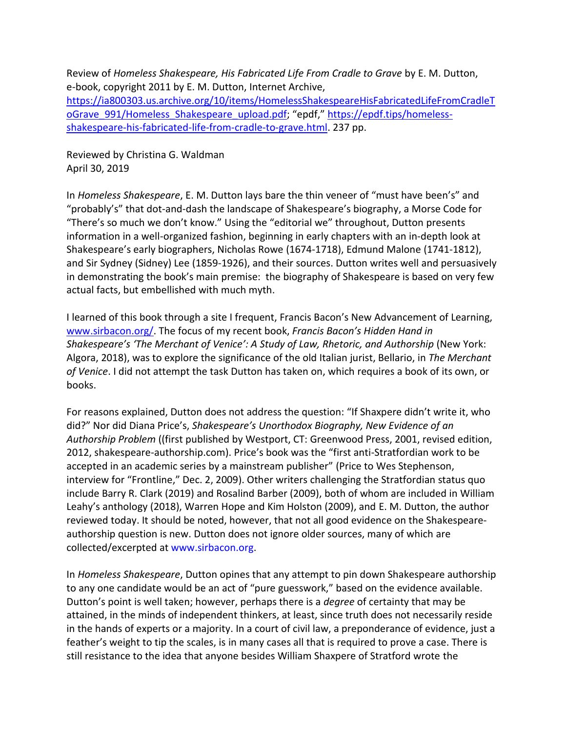Review of *Homeless Shakespeare, His Fabricated Life From Cradle to Grave* by E. M. Dutton, e-book, copyright 2011 by E. M. Dutton, Internet Archive, [https://ia800303.us.archive.org/10/items/HomelessShakespeareHisFabricatedLifeFromCradleT](https://ia800303.us.archive.org/10/items/HomelessShakespeareHisFabricatedLifeFromCradleToGrave_991/Homeless_Shakespeare_upload.pdf) [oGrave\\_991/Homeless\\_Shakespeare\\_upload.pdf;](https://ia800303.us.archive.org/10/items/HomelessShakespeareHisFabricatedLifeFromCradleToGrave_991/Homeless_Shakespeare_upload.pdf) "epdf," [https://epdf.tips/homeless](https://epdf.tips/homeless-shakespeare-his-fabricated-life-from-cradle-to-grave.html)[shakespeare-his-fabricated-life-from-cradle-to-grave.html.](https://epdf.tips/homeless-shakespeare-his-fabricated-life-from-cradle-to-grave.html) 237 pp.

Reviewed by Christina G. Waldman April 30, 2019

In *Homeless Shakespeare*, E. M. Dutton lays bare the thin veneer of "must have been's" and "probably's" that dot-and-dash the landscape of Shakespeare's biography, a Morse Code for "There's so much we don't know." Using the "editorial we" throughout, Dutton presents information in a well-organized fashion, beginning in early chapters with an in-depth look at Shakespeare's early biographers, Nicholas Rowe (1674-1718), Edmund Malone (1741-1812), and Sir Sydney (Sidney) Lee (1859-1926), and their sources. Dutton writes well and persuasively in demonstrating the book's main premise: the biography of Shakespeare is based on very few actual facts, but embellished with much myth.

I learned of this book through a site I frequent, Francis Bacon's New Advancement of Learning, [www.sirbacon.org/.](http://www.sirbacon.org/) The focus of my recent book, *Francis Bacon's Hidden Hand in Shakespeare's 'The Merchant of Venice': A Study of Law, Rhetoric, and Authorship* (New York: Algora, 2018), was to explore the significance of the old Italian jurist, Bellario, in *The Merchant of Venice*. I did not attempt the task Dutton has taken on, which requires a book of its own, or books.

For reasons explained, Dutton does not address the question: "If Shaxpere didn't write it, who did?" Nor did Diana Price's, *Shakespeare's Unorthodox Biography, New Evidence of an Authorship Problem* ((first published by Westport, CT: Greenwood Press, 2001, revised edition, 2012, shakespeare-authorship.com). Price's book was the "first anti-Stratfordian work to be accepted in an academic series by a mainstream publisher" (Price to Wes Stephenson, interview for "Frontline," Dec. 2, 2009). Other writers challenging the Stratfordian status quo include Barry R. Clark (2019) and Rosalind Barber (2009), both of whom are included in William Leahy's anthology (2018), Warren Hope and Kim Holston (2009), and E. M. Dutton, the author reviewed today. It should be noted, however, that not all good evidence on the Shakespeareauthorship question is new. Dutton does not ignore older sources, many of which are collected/excerpted at www.sirbacon.org.

In *Homeless Shakespeare*, Dutton opines that any attempt to pin down Shakespeare authorship to any one candidate would be an act of "pure guesswork," based on the evidence available. Dutton's point is well taken; however, perhaps there is a *degree* of certainty that may be attained, in the minds of independent thinkers, at least, since truth does not necessarily reside in the hands of experts or a majority. In a court of civil law, a preponderance of evidence, just a feather's weight to tip the scales, is in many cases all that is required to prove a case. There is still resistance to the idea that anyone besides William Shaxpere of Stratford wrote the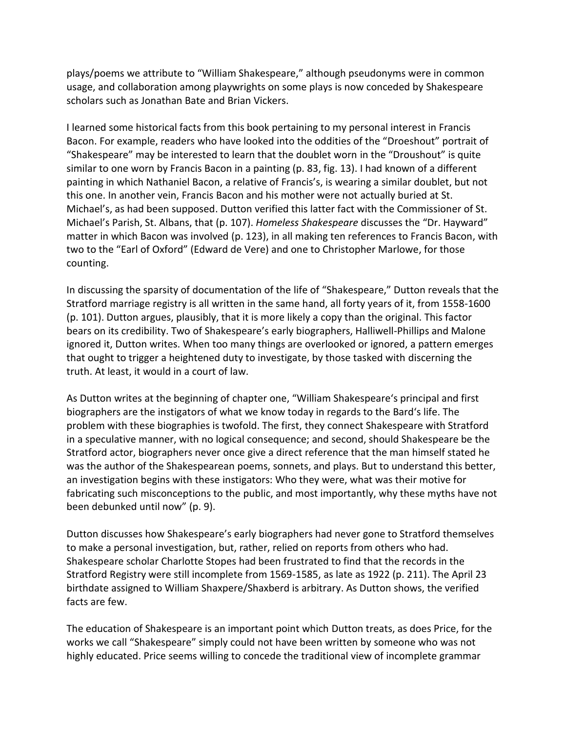plays/poems we attribute to "William Shakespeare," although pseudonyms were in common usage, and collaboration among playwrights on some plays is now conceded by Shakespeare scholars such as Jonathan Bate and Brian Vickers.

I learned some historical facts from this book pertaining to my personal interest in Francis Bacon. For example, readers who have looked into the oddities of the "Droeshout" portrait of "Shakespeare" may be interested to learn that the doublet worn in the "Droushout" is quite similar to one worn by Francis Bacon in a painting (p. 83, fig. 13). I had known of a different painting in which Nathaniel Bacon, a relative of Francis's, is wearing a similar doublet, but not this one. In another vein, Francis Bacon and his mother were not actually buried at St. Michael's, as had been supposed. Dutton verified this latter fact with the Commissioner of St. Michael's Parish, St. Albans, that (p. 107). *Homeless Shakespeare* discusses the "Dr. Hayward" matter in which Bacon was involved (p. 123), in all making ten references to Francis Bacon, with two to the "Earl of Oxford" (Edward de Vere) and one to Christopher Marlowe, for those counting.

In discussing the sparsity of documentation of the life of "Shakespeare," Dutton reveals that the Stratford marriage registry is all written in the same hand, all forty years of it, from 1558-1600 (p. 101). Dutton argues, plausibly, that it is more likely a copy than the original. This factor bears on its credibility. Two of Shakespeare's early biographers, Halliwell-Phillips and Malone ignored it, Dutton writes. When too many things are overlooked or ignored, a pattern emerges that ought to trigger a heightened duty to investigate, by those tasked with discerning the truth. At least, it would in a court of law.

As Dutton writes at the beginning of chapter one, "William Shakespeare's principal and first biographers are the instigators of what we know today in regards to the Bard's life. The problem with these biographies is twofold. The first, they connect Shakespeare with Stratford in a speculative manner, with no logical consequence; and second, should Shakespeare be the Stratford actor, biographers never once give a direct reference that the man himself stated he was the author of the Shakespearean poems, sonnets, and plays. But to understand this better, an investigation begins with these instigators: Who they were, what was their motive for fabricating such misconceptions to the public, and most importantly, why these myths have not been debunked until now" (p. 9).

Dutton discusses how Shakespeare's early biographers had never gone to Stratford themselves to make a personal investigation, but, rather, relied on reports from others who had. Shakespeare scholar Charlotte Stopes had been frustrated to find that the records in the Stratford Registry were still incomplete from 1569-1585, as late as 1922 (p. 211). The April 23 birthdate assigned to William Shaxpere/Shaxberd is arbitrary. As Dutton shows, the verified facts are few.

The education of Shakespeare is an important point which Dutton treats, as does Price, for the works we call "Shakespeare" simply could not have been written by someone who was not highly educated. Price seems willing to concede the traditional view of incomplete grammar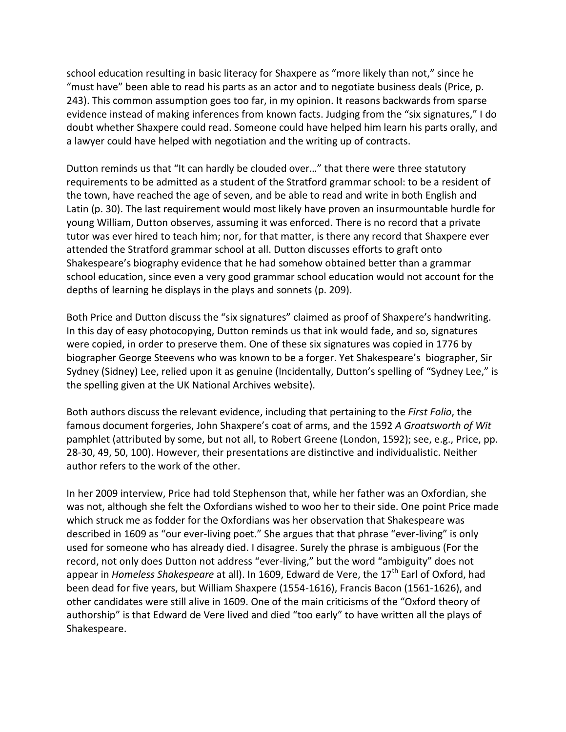school education resulting in basic literacy for Shaxpere as "more likely than not," since he "must have" been able to read his parts as an actor and to negotiate business deals (Price, p. 243). This common assumption goes too far, in my opinion. It reasons backwards from sparse evidence instead of making inferences from known facts. Judging from the "six signatures," I do doubt whether Shaxpere could read. Someone could have helped him learn his parts orally, and a lawyer could have helped with negotiation and the writing up of contracts.

Dutton reminds us that "It can hardly be clouded over…" that there were three statutory requirements to be admitted as a student of the Stratford grammar school: to be a resident of the town, have reached the age of seven, and be able to read and write in both English and Latin (p. 30). The last requirement would most likely have proven an insurmountable hurdle for young William, Dutton observes, assuming it was enforced. There is no record that a private tutor was ever hired to teach him; nor, for that matter, is there any record that Shaxpere ever attended the Stratford grammar school at all. Dutton discusses efforts to graft onto Shakespeare's biography evidence that he had somehow obtained better than a grammar school education, since even a very good grammar school education would not account for the depths of learning he displays in the plays and sonnets (p. 209).

Both Price and Dutton discuss the "six signatures" claimed as proof of Shaxpere's handwriting. In this day of easy photocopying, Dutton reminds us that ink would fade, and so, signatures were copied, in order to preserve them. One of these six signatures was copied in 1776 by biographer George Steevens who was known to be a forger. Yet Shakespeare's biographer, Sir Sydney (Sidney) Lee, relied upon it as genuine (Incidentally, Dutton's spelling of "Sydney Lee," is the spelling given at the UK National Archives website).

Both authors discuss the relevant evidence, including that pertaining to the *First Folio*, the famous document forgeries, John Shaxpere's coat of arms, and the 1592 *A Groatsworth of Wit* pamphlet (attributed by some, but not all, to Robert Greene (London, 1592); see, e.g., Price, pp. 28-30, 49, 50, 100). However, their presentations are distinctive and individualistic. Neither author refers to the work of the other.

In her 2009 interview, Price had told Stephenson that, while her father was an Oxfordian, she was not, although she felt the Oxfordians wished to woo her to their side. One point Price made which struck me as fodder for the Oxfordians was her observation that Shakespeare was described in 1609 as "our ever-living poet." She argues that that phrase "ever-living" is only used for someone who has already died. I disagree. Surely the phrase is ambiguous (For the record, not only does Dutton not address "ever-living," but the word "ambiguity" does not appear in *Homeless Shakespeare* at all). In 1609, Edward de Vere, the 17<sup>th</sup> Earl of Oxford, had been dead for five years, but William Shaxpere (1554-1616), Francis Bacon (1561-1626), and other candidates were still alive in 1609. One of the main criticisms of the "Oxford theory of authorship" is that Edward de Vere lived and died "too early" to have written all the plays of Shakespeare.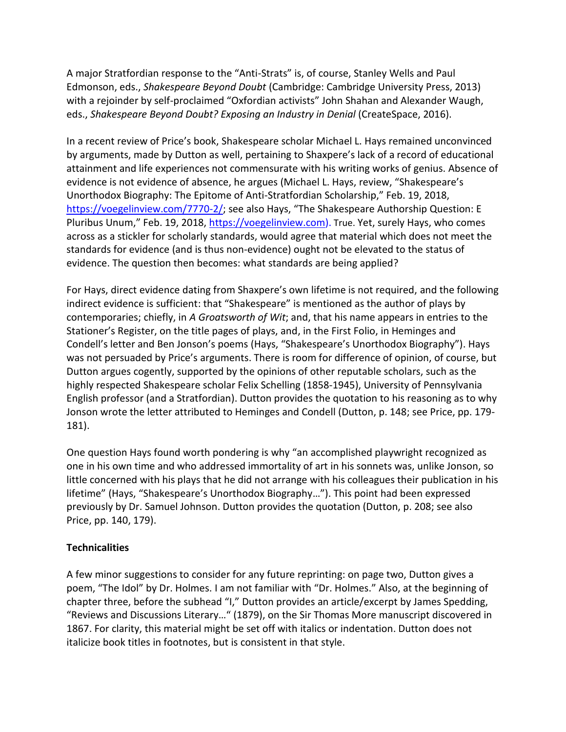A major Stratfordian response to the "Anti-Strats" is, of course, Stanley Wells and Paul Edmonson, eds., *Shakespeare Beyond Doubt* (Cambridge: Cambridge University Press, 2013) with a rejoinder by self-proclaimed "Oxfordian activists" John Shahan and Alexander Waugh, eds., *Shakespeare Beyond Doubt? Exposing an Industry in Denial* (CreateSpace, 2016).

In a recent review of Price's book, Shakespeare scholar Michael L. Hays remained unconvinced by arguments, made by Dutton as well, pertaining to Shaxpere's lack of a record of educational attainment and life experiences not commensurate with his writing works of genius. Absence of evidence is not evidence of absence, he argues (Michael L. Hays, review, "Shakespeare's Unorthodox Biography: The Epitome of Anti-Stratfordian Scholarship," Feb. 19, 2018, <https://voegelinview.com/7770-2/>; see also Hays, "The Shakespeare Authorship Question: E Pluribus Unum," Feb. 19, 2018, [https://voegelinview.com\)](https://voegelinview.com/). True. Yet, surely Hays, who comes across as a stickler for scholarly standards, would agree that material which does not meet the standards for evidence (and is thus non-evidence) ought not be elevated to the status of evidence. The question then becomes: what standards are being applied?

For Hays, direct evidence dating from Shaxpere's own lifetime is not required, and the following indirect evidence is sufficient: that "Shakespeare" is mentioned as the author of plays by contemporaries; chiefly, in *A Groatsworth of Wit*; and, that his name appears in entries to the Stationer's Register, on the title pages of plays, and, in the First Folio, in Heminges and Condell's letter and Ben Jonson's poems (Hays, "Shakespeare's Unorthodox Biography"). Hays was not persuaded by Price's arguments. There is room for difference of opinion, of course, but Dutton argues cogently, supported by the opinions of other reputable scholars, such as the highly respected Shakespeare scholar Felix Schelling (1858-1945), University of Pennsylvania English professor (and a Stratfordian). Dutton provides the quotation to his reasoning as to why Jonson wrote the letter attributed to Heminges and Condell (Dutton, p. 148; see Price, pp. 179- 181).

One question Hays found worth pondering is why "an accomplished playwright recognized as one in his own time and who addressed immortality of art in his sonnets was, unlike Jonson, so little concerned with his plays that he did not arrange with his colleagues their publication in his lifetime" (Hays, "Shakespeare's Unorthodox Biography…"). This point had been expressed previously by Dr. Samuel Johnson. Dutton provides the quotation (Dutton, p. 208; see also Price, pp. 140, 179).

## **Technicalities**

A few minor suggestions to consider for any future reprinting: on page two, Dutton gives a poem, "The Idol" by Dr. Holmes. I am not familiar with "Dr. Holmes." Also, at the beginning of chapter three, before the subhead "I," Dutton provides an article/excerpt by James Spedding, "Reviews and Discussions Literary…" (1879), on the Sir Thomas More manuscript discovered in 1867. For clarity, this material might be set off with italics or indentation. Dutton does not italicize book titles in footnotes, but is consistent in that style.